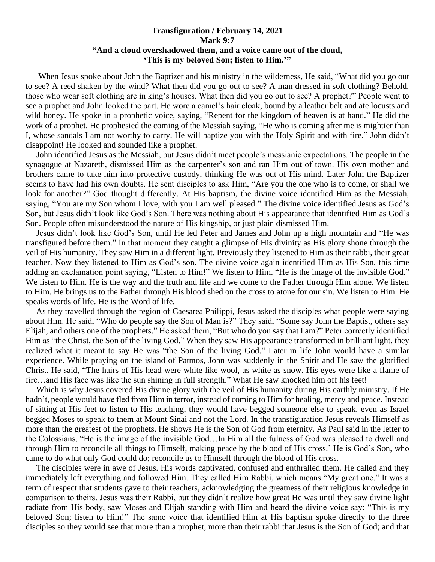## **Transfiguration / February 14, 2021 Mark 9:7 "And a cloud overshadowed them, and a voice came out of the cloud, 'This is my beloved Son; listen to Him.'"**

 When Jesus spoke about John the Baptizer and his ministry in the wilderness, He said, "What did you go out to see? A reed shaken by the wind? What then did you go out to see? A man dressed in soft clothing? Behold, those who wear soft clothing are in king's houses. What then did you go out to see? A prophet?" People went to see a prophet and John looked the part. He wore a camel's hair cloak, bound by a leather belt and ate locusts and wild honey. He spoke in a prophetic voice, saying, "Repent for the kingdom of heaven is at hand." He did the work of a prophet. He prophesied the coming of the Messiah saying, "He who is coming after me is mightier than I, whose sandals I am not worthy to carry. He will baptize you with the Holy Spirit and with fire." John didn't disappoint! He looked and sounded like a prophet.

 John identified Jesus as the Messiah, but Jesus didn't meet people's messianic expectations. The people in the synagogue at Nazareth, dismissed Him as the carpenter's son and ran Him out of town. His own mother and brothers came to take him into protective custody, thinking He was out of His mind. Later John the Baptizer seems to have had his own doubts. He sent disciples to ask Him, "Are you the one who is to come, or shall we look for another?" God thought differently. At His baptism, the divine voice identified Him as the Messiah, saying, "You are my Son whom I love, with you I am well pleased." The divine voice identified Jesus as God's Son, but Jesus didn't look like God's Son. There was nothing about His appearance that identified Him as God's Son. People often misunderstood the nature of His kingship, or just plain dismissed Him.

 Jesus didn't look like God's Son, until He led Peter and James and John up a high mountain and "He was transfigured before them." In that moment they caught a glimpse of His divinity as His glory shone through the veil of His humanity. They saw Him in a different light. Previously they listened to Him as their rabbi, their great teacher. Now they listened to Him as God's son. The divine voice again identified Him as His Son, this time adding an exclamation point saying, "Listen to Him!" We listen to Him. "He is the image of the invisible God." We listen to Him. He is the way and the truth and life and we come to the Father through Him alone. We listen to Him. He brings us to the Father through His blood shed on the cross to atone for our sin. We listen to Him. He speaks words of life. He is the Word of life.

 As they travelled through the region of Caesarea Philippi, Jesus asked the disciples what people were saying about Him. He said, "Who do people say the Son of Man is?" They said, "Some say John the Baptist, others say Elijah, and others one of the prophets." He asked them, "But who do you say that I am?" Peter correctly identified Him as "the Christ, the Son of the living God." When they saw His appearance transformed in brilliant light, they realized what it meant to say He was "the Son of the living God." Later in life John would have a similar experience. While praying on the island of Patmos, John was suddenly in the Spirit and He saw the glorified Christ. He said, "The hairs of His head were white like wool, as white as snow. His eyes were like a flame of fire…and His face was like the sun shining in full strength." What He saw knocked him off his feet!

 Which is why Jesus covered His divine glory with the veil of His humanity during His earthly ministry. If He hadn't, people would have fled from Him in terror, instead of coming to Him for healing, mercy and peace. Instead of sitting at His feet to listen to His teaching, they would have begged someone else to speak, even as Israel begged Moses to speak to them at Mount Sinai and not the Lord. In the transfiguration Jesus reveals Himself as more than the greatest of the prophets. He shows He is the Son of God from eternity. As Paul said in the letter to the Colossians, "He is the image of the invisible God…In Him all the fulness of God was pleased to dwell and through Him to reconcile all things to Himself, making peace by the blood of His cross.' He is God's Son, who came to do what only God could do; reconcile us to Himself through the blood of His cross.

 The disciples were in awe of Jesus. His words captivated, confused and enthralled them. He called and they immediately left everything and followed Him. They called Him Rabbi, which means "My great one." It was a term of respect that students gave to their teachers, acknowledging the greatness of their religious knowledge in comparison to theirs. Jesus was their Rabbi, but they didn't realize how great He was until they saw divine light radiate from His body, saw Moses and Elijah standing with Him and heard the divine voice say: "This is my beloved Son; listen to Him!" The same voice that identified Him at His baptism spoke directly to the three disciples so they would see that more than a prophet, more than their rabbi that Jesus is the Son of God; and that